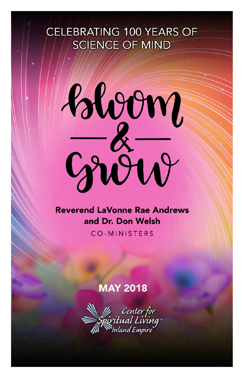# CELEBRATING 100 YEARS OF **SCIENCE OF MIND**



### **Reverend LaVonne Rae Andrews** and Dr. Don Welsh

CO-MINISTERS

## **MAY 2018**

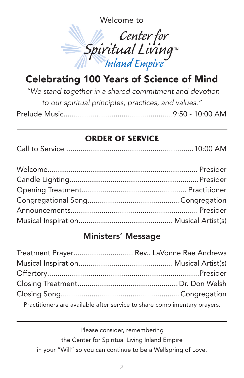Welcome to



# Celebrating 100 Years of Science of Mind

*"We stand together in a shared commitment and devotion to our spiritual principles, practices, and values."* Prelude Music.....................................................9:50 - 10:00 AM

#### **ORDER OF SERVICE**

|--|--|--|

### Ministers' Message

| Treatment Prayer Rev LaVonne Rae Andrews                                  |  |
|---------------------------------------------------------------------------|--|
|                                                                           |  |
|                                                                           |  |
|                                                                           |  |
|                                                                           |  |
| Practitioners are available after service to share complimentary prayers. |  |

Please consider, remembering the Center for Spiritual Living Inland Empire in your "Will" so you can continue to be a Wellspring of Love.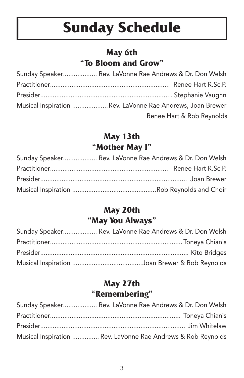# **Sunday Schedule**

#### **May 6th "To Bloom and Grow"**

| Sunday Speaker Rev. LaVonne Rae Andrews & Dr. Don Welsh    |
|------------------------------------------------------------|
|                                                            |
|                                                            |
| Musical Inspiration  Rev. LaVonne Rae Andrews, Joan Brewer |
| Renee Hart & Rob Reynolds                                  |

#### **May 13th "Mother May I"**

| Sunday Speaker Rev. LaVonne Rae Andrews & Dr. Don Welsh |
|---------------------------------------------------------|
|                                                         |
|                                                         |
|                                                         |

#### **May 20th "May You Always"**

| Sunday Speaker Rev. LaVonne Rae Andrews & Dr. Don Welsh |
|---------------------------------------------------------|
|                                                         |
|                                                         |
|                                                         |

#### **May 27th "Remembering"**

| Sunday Speaker Rev. LaVonne Rae Andrews & Dr. Don Welsh      |
|--------------------------------------------------------------|
|                                                              |
|                                                              |
| Musical Inspiration  Rev. LaVonne Rae Andrews & Rob Reynolds |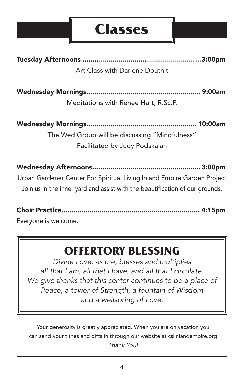# **Classes**

Tuesday Afternoons ...........................................................3:00pm Art Class with Darlene Douthit

Wednesday Mornings......................................................... 9:00am Meditations with Renee Hart, R.Sc.P.

Wednesday Mornings....................................................... 10:00am The Wed Group will be discussing "Mindfulness" Facilitated by Judy Podskalan

Wednesday Afternoons......................................................3:00pm Urban Gardener Center For Spiritual Living Inland Empire Garden Project Join us in the inner yard and assist with the beautification of our grounds.

Choir Practice..................................................................... 4:15pm Everyone is welcome.

# **OFFERTORY BLESSING**

*Divine Love, as me, blesses and multiplies all that I am, all that I have, and all that I circulate. We give thanks that this center continues to be a place of Peace, a tower of Strength, a fountain of Wisdom and a wellspring of Love.*

Your generosity is greatly appreciated. When you are on vacation you can send your tithes and gifts in through our website at cslinlandempire.org *Thank You!*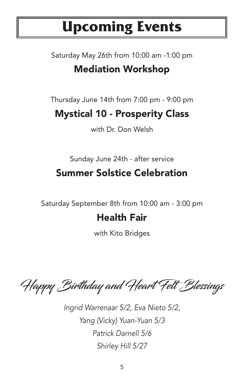# **Upcoming Events**

# Saturday May 26th from 10:00 am -1:00 pm Mediation Workshop

Thursday June 14th from 7:00 pm - 9:00 pm

# Mystical 10 - Prosperity Class

with Dr. Don Welsh

Sunday June 24th - after service

# Summer Solstice Celebration

Saturday September 8th from 10:00 am - 3:00 pm

## Health Fair

with Kito Bridges

Happy Birthday and Heart Felt Blessings

*Ingrid Warrenaar 5/2, Eva Nieto 5/2, Yang (Vicky) Yuan-Yuan 5/3 Patrick Darnell 5/6 Shirley Hill 5/27*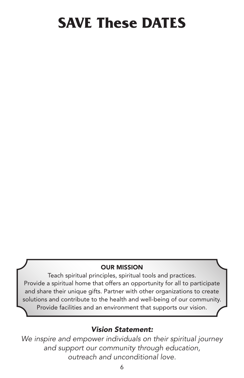# **SAVE These DATES**

#### OUR MISSION

Teach spiritual principles, spiritual tools and practices. Provide a spiritual home that offers an opportunity for all to participate and share their unique gifts. Partner with other organizations to create solutions and contribute to the health and well-being of our community. Provide facilities and an environment that supports our vision.

#### *Vision Statement:*

*We inspire and empower individuals on their spiritual journey and support our community through education, outreach and unconditional love.*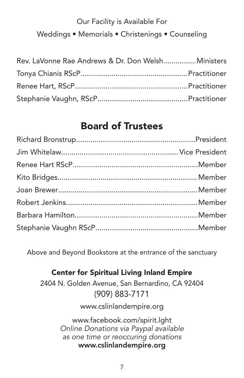## Our Facility is Available For Weddings • Memorials • Christenings • Counseling

| Rev. LaVonne Rae Andrews & Dr. Don WelshMinisters |  |
|---------------------------------------------------|--|
|                                                   |  |
|                                                   |  |
|                                                   |  |

## Board of Trustees

Above and Beyond Bookstore at the entrance of the sanctuary

#### Center for Spiritual Living Inland Empire

2404 N. Golden Avenue, San Bernardino, CA 92404 (909) 883-7171

www.cslinlandempire.org

www.facebook.com/spirit.lght *Online Donations via Paypal available as one time or reoccuring donations* www.cslinlandempire.org